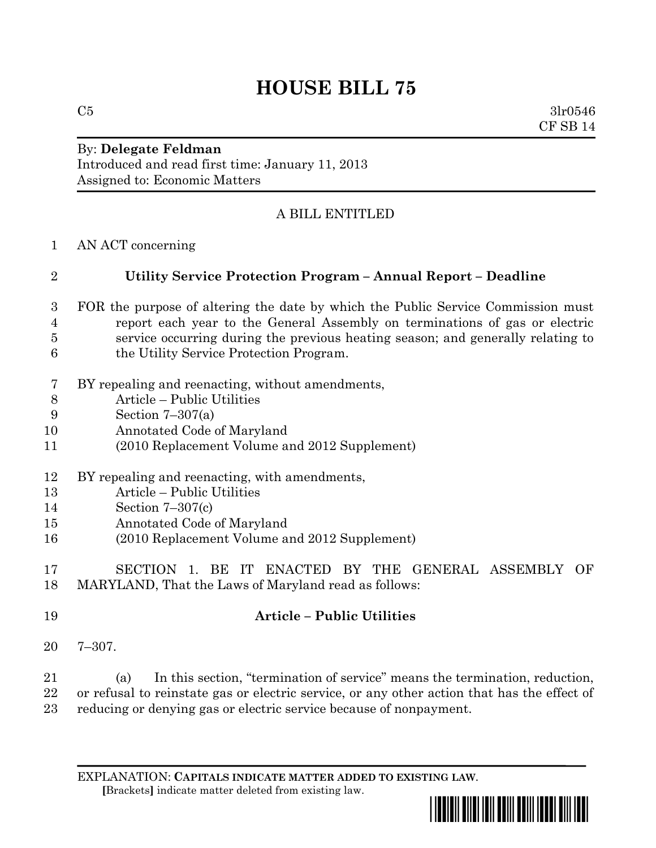# **HOUSE BILL 75**

 $C5$  3lr0546 CF SB 14

#### By: **Delegate Feldman** Introduced and read first time: January 11, 2013 Assigned to: Economic Matters

## A BILL ENTITLED

AN ACT concerning

### **Utility Service Protection Program – Annual Report – Deadline**

- FOR the purpose of altering the date by which the Public Service Commission must report each year to the General Assembly on terminations of gas or electric service occurring during the previous heating season; and generally relating to the Utility Service Protection Program.
- BY repealing and reenacting, without amendments,
- Article Public Utilities
- Section 7–307(a)
- Annotated Code of Maryland
- (2010 Replacement Volume and 2012 Supplement)
- BY repealing and reenacting, with amendments,
- Article Public Utilities
- Section 7–307(c)
- Annotated Code of Maryland
- (2010 Replacement Volume and 2012 Supplement)
- SECTION 1. BE IT ENACTED BY THE GENERAL ASSEMBLY OF MARYLAND, That the Laws of Maryland read as follows:
- **Article – Public Utilities**
- 7–307.

 (a) In this section, "termination of service" means the termination, reduction, or refusal to reinstate gas or electric service, or any other action that has the effect of reducing or denying gas or electric service because of nonpayment.

EXPLANATION: **CAPITALS INDICATE MATTER ADDED TO EXISTING LAW**.  **[**Brackets**]** indicate matter deleted from existing law.